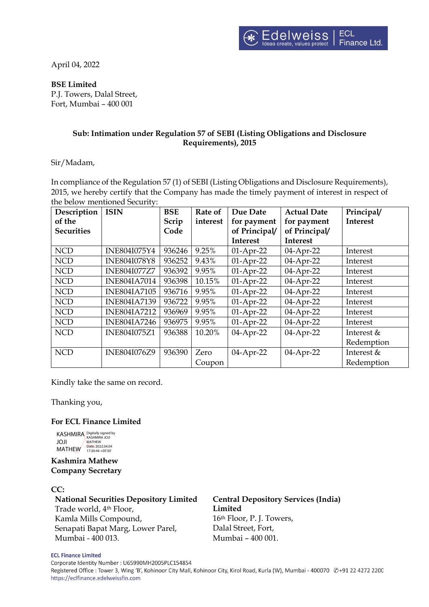April 04, 2022

### **BSE Limited**

P.J. Towers, Dalal Street, Fort, Mumbai – 400 001

# **Sub: Intimation under Regulation 57 of SEBI (Listing Obligations and Disclosure Requirements), 2015**

Sir/Madam,

In compliance of the Regulation 57 (1) of SEBI (Listing Obligations and Disclosure Requirements), 2015, we hereby certify that the Company has made the timely payment of interest in respect of the below mentioned Security:

| Description       | <b>ISIN</b>         | <b>BSE</b> | Rate of  | Due Date        | <b>Actual Date</b> | Principal/   |
|-------------------|---------------------|------------|----------|-----------------|--------------------|--------------|
| of the            |                     | Scrip      | interest | for payment     | for payment        | Interest     |
| <b>Securities</b> |                     | Code       |          | of Principal/   | of Principal/      |              |
|                   |                     |            |          | <b>Interest</b> | Interest           |              |
| <b>NCD</b>        | INE804I075Y4        | 936246     | 9.25%    | $01-Apr-22$     | $04$ -Apr-22       | Interest     |
| <b>NCD</b>        | <b>INE804I078Y8</b> | 936252     | 9.43%    | $01-Apr-22$     | 04-Apr-22          | Interest     |
| <b>NCD</b>        | <b>INE804I077Z7</b> | 936392     | 9.95%    | $01-Apr-22$     | 04-Apr-22          | Interest     |
| <b>NCD</b>        | <b>INE804IA7014</b> | 936398     | 10.15%   | $01-Apr-22$     | $04$ -Apr-22       | Interest     |
| <b>NCD</b>        | <b>INE804IA7105</b> | 936716     | 9.95%    | $01-Apr-22$     | 04-Apr-22          | Interest     |
| <b>NCD</b>        | <b>INE804IA7139</b> | 936722     | 9.95%    | $01-Apr-22$     | 04-Apr-22          | Interest     |
| <b>NCD</b>        | <b>INE804IA7212</b> | 936969     | 9.95%    | $01-Apr-22$     | $04$ -Apr-22       | Interest     |
| <b>NCD</b>        | <b>INE804IA7246</b> | 936975     | 9.95%    | $01-Apr-22$     | 04-Apr-22          | Interest     |
| <b>NCD</b>        | <b>INE804I075Z1</b> | 936388     | 10.20%   | 04-Apr-22       | 04-Apr-22          | Interest $&$ |
|                   |                     |            |          |                 |                    | Redemption   |
| <b>NCD</b>        | INE804I076Z9        | 936390     | Zero     | 04-Apr-22       | 04-Apr-22          | Interest $&$ |
|                   |                     |            | Coupon   |                 |                    | Redemption   |

Kindly take the same on record.

Thanking you,

### **For ECL Finance Limited**

KASHMIRA Digitally signed by JOJI MATHEW MATHEW Date: 2022.04.04 17:30:44 +05'30'

**Kashmira Mathew Company Secretary**

### **CC:**

**National Securities Depository Limited** Trade world, 4th Floor, Kamla Mills Compound, Senapati Bapat Marg, Lower Parel, Mumbai - 400 013.

**Central Depository Services (India) Limited** 16th Floor, P. J. Towers,

Dalal Street, Fort, Mumbai – 400 001.